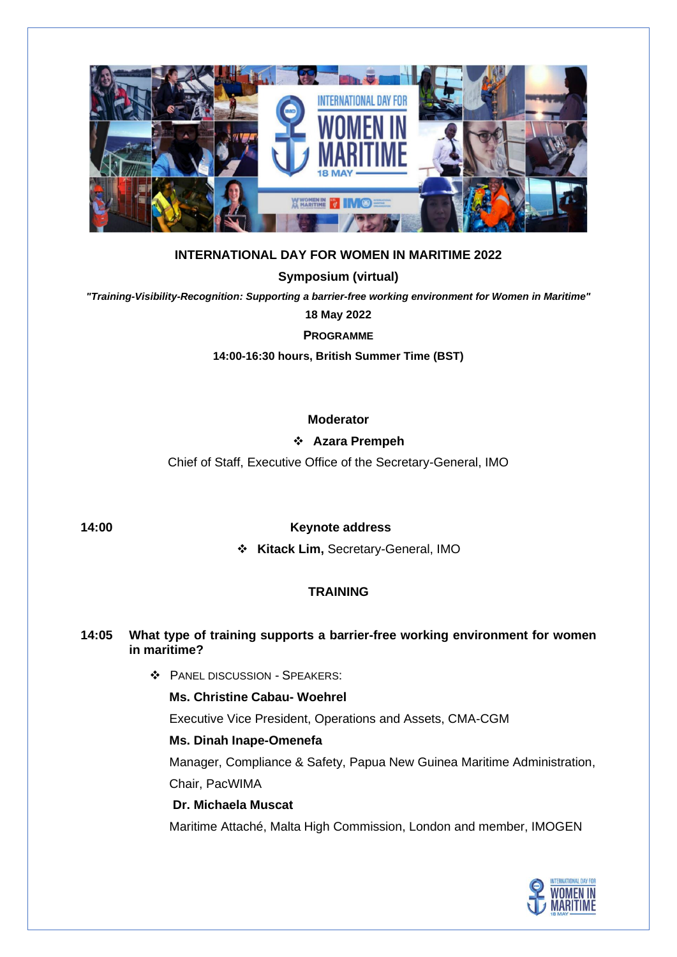

# **INTERNATIONAL DAY FOR WOMEN IN MARITIME 2022**

### **Symposium (virtual)**

*"Training-Visibility-Recognition: Supporting a barrier-free working environment for Women in Maritime"*

**18 May 2022**

**PROGRAMME**

**14:00-16:30 hours, British Summer Time (BST)**

### **Moderator**

### ❖ **Azara Prempeh**

Chief of Staff, Executive Office of the Secretary-General, IMO

### **14:00 Keynote address**

❖ **Kitack Lim,** Secretary-General, IMO

# **TRAINING**

### **14:05 What type of training supports a barrier-free working environment for women in maritime?**

❖ PANEL DISCUSSION - SPEAKERS:

### **Ms. Christine Cabau- Woehrel**

Executive Vice President, Operations and Assets, CMA-CGM

### **Ms. Dinah Inape-Omenefa**

Manager, Compliance & Safety, Papua New Guinea Maritime Administration,

Chair, PacWIMA

# **Dr. Michaela Muscat**

Maritime Attaché, Malta High Commission, London and member, IMOGEN